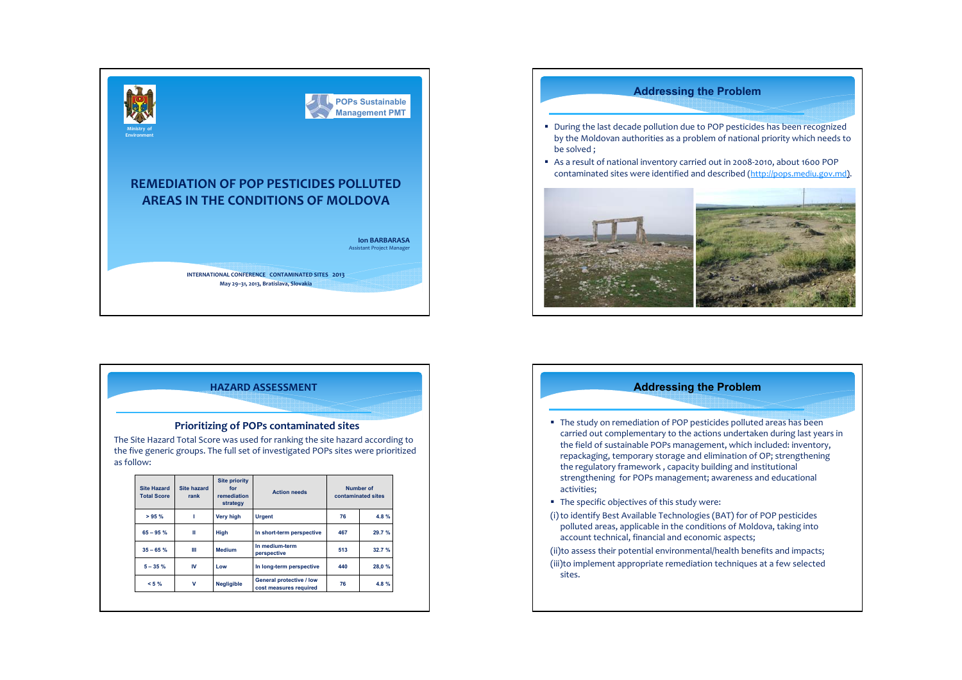



# **Prioritizing of POPs contaminated sites**

The Site Hazard Total Score was used for ranking the site hazard according to the five generic groups. The full set of investigated POPs sites were prioritized as follow:

| <b>Site Hazard</b><br><b>Total Score</b> | <b>Site priority</b><br>Site hazard<br>for<br><b>Action needs</b><br>remediation<br>rank<br>strategy |               | Number of<br>contaminated sites |      |       |  |       |
|------------------------------------------|------------------------------------------------------------------------------------------------------|---------------|---------------------------------|------|-------|--|-------|
| >95%                                     |                                                                                                      | Very high     | <b>Urgent</b>                   | 76   | 4.8%  |  |       |
| $65 - 95$ %                              | Ш                                                                                                    | High          | In short-term perspective       | 467  | 29.7% |  |       |
| $35 - 65$ %                              | Ш                                                                                                    | <b>Medium</b> | In medium-term<br>perspective   | 513  | 32.7% |  |       |
| $5 - 35 \%$                              | IV                                                                                                   | Low           | In long-term perspective        |      | 440   |  | 28,0% |
| $< 5 \%$                                 | General protective / low<br>v<br><b>Negligible</b><br>cost measures required                         |               | 76                              | 4.8% |       |  |       |





- **The study on remediation of POP pesticides polluted areas has been** carried out complementary to the actions undertaken during last years in the field of sustainable POPs management, which included: inventory, repackaging, temporary storage and elimination of OP; strengthening the regulatory framework , capacity building and institutional strengthening for POPs management; awareness and educational activities;
- The specific objectives of this study were:
- (i) to identify Best Available Technologies (BAT) for of POP pesticides polluted areas, applicable in the conditions of Moldova, taking into account technical, financial and economic aspects;
- (ii)to assess their potential environmental/health benefits and impacts; (iii)to implement appropriate remediation techniques at <sup>a</sup> few selected sites.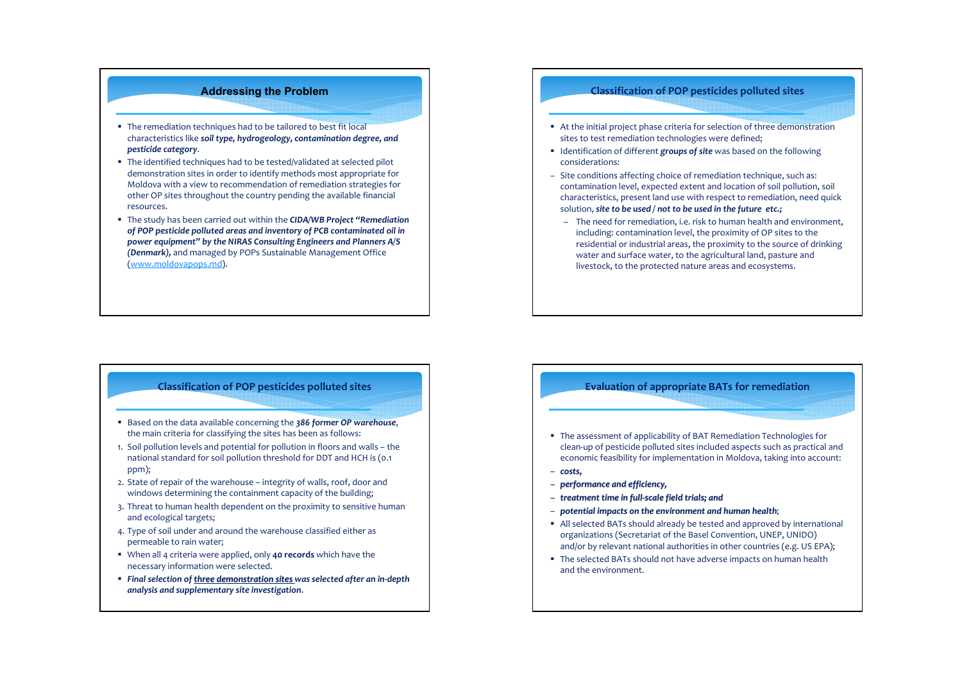# **Addressing the Problem**

- **The remediation techniques had to be tailored to best fit local** characteristics like *soil type, hydrogeology, contamination degree, and pesticide category*.
- The identified techniques had to be tested/validated at selected pilot demonstration sites in order to identify methods most appropriate for Moldova with <sup>a</sup> view to recommendation of remediation strategies for other OP sites throughout the country pending the available financial resources.
- The study has been carried out within the *CIDA/WB Project "Remediation of POP pesticide polluted areas and inventory of PCB contaminated oil in power equipment" by the NIRAS Consulting Engineers and Planners A/S (Denmark),* and managed by POPs Sustainable Management Office (www.moldovapops.md).

## **Classification of POP pesticides polluted sites**

- Based on the data available concerning the *386 former OP warehouse*, the main criteria for classifying the sites has been as follows:
- 1. Soil pollution levels and potential for pollution in floors and walls the national standard for soil pollution threshold for DDT and HCH is (0.1 ppm);
- 2. State of repair of the warehouse integrity of walls, roof, door and windows determining the containment capacity of the building;
- 3. Threat to human health dependent on the proximity to sensitive human and ecological targets;
- 4. Type of soil under and around the warehouse classified either as permeable to rain water;
- When all 4 criteria were applied, only **40 records** which have the necessary information were selected.
- *Final selection of three demonstration sites was selected after an in‐depth analysis and supplementary site investigation*.

#### **Classification of POP pesticides polluted sites**

- At the initial project phase criteria for selection of three demonstration sites to test remediation technologies were defined;
- Identification of different **groups of site** was based on the following considerations:
- Site conditions affecting choice of remediation technique, such as: contamination level, expected extent and location of soil pollution, soil characteristics, presen<sup>t</sup> land use with respec<sup>t</sup> to remediation, need quick solution, *site to be used / not to be used in the future etc.;*
	- The need for remediation, i.e. risk to human health and environment, including: contamination level, the proximity of OP sites to the residential or industrial areas, the proximity to the source of drinking water and surface water, to the agricultural land, pasture and livestock, to the protected nature areas and ecosystems.

### **Evaluation of appropriate BATs for remediation**

- The assessment of applicability of BAT Remediation Technologies for clean‐up of pesticide polluted sites included aspects such as practical and economic feasibility for implementation in Moldova, taking into account:
- *costs,*
- *performance and efficiency, efficiency,*
- *treatment treatmenttime in full‐scale field trials; trials; and*
- *potential potentialimpacts impactson the environment environment and human health*;
- All selected BATs should already be tested and approved by international organizations (Secretariat of the Basel Convention, UNEP, UNIDO) and/or by relevant national authorities in other countries (e.g. US EPA);
- The selected BATs should not have adverse impacts on human health and the environment.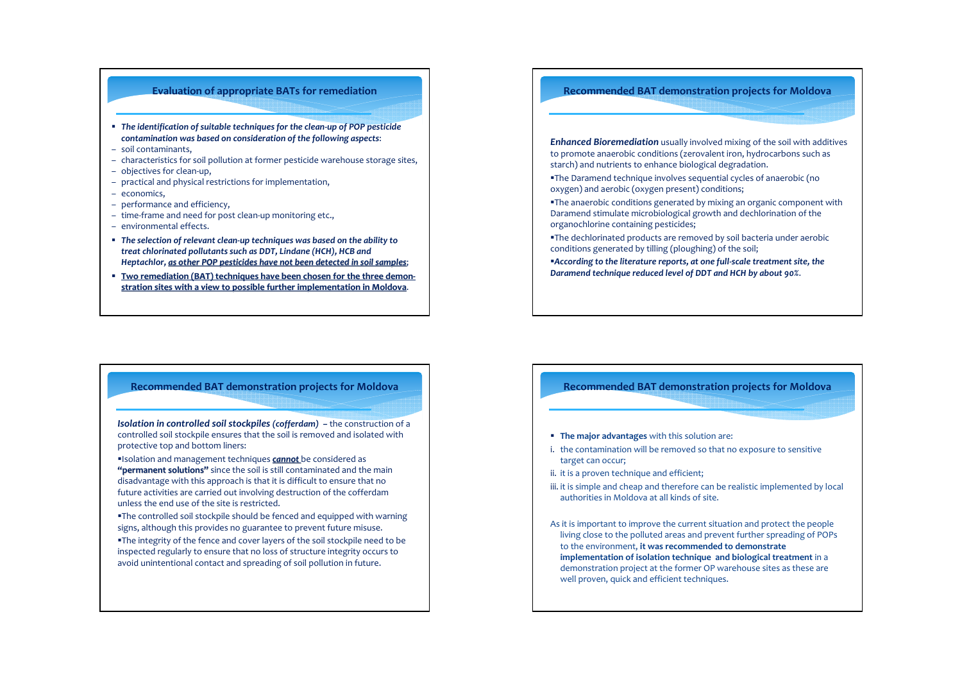### **Evaluation of appropriate BATs for remediation**

- *The identification of suitable techniques for the clean‐up of POP pesticide contamination was based on consideration of the following aspects*:
- soil contaminants,
- characteristics for soil pollution at former pesticide warehouse storage sites,
- objectives for clean‐up,
- practical and physical restrictions for implementation,
- economics,
- performance and efficiency,
- time‐frame and need for pos<sup>t</sup> clean‐up monitoring etc.,
- environmental effects.
- *The selection of relevant clean‐up techniques was based on the ability to treat chlorinated pollutants such as DDT, Lindane (HCH), HCB and Heptachlor, as other POP pesticides pesticideshave not been detected detected in soil samples* ;
- **Two remediation remediation(BAT) techniques have been chosen for the three demon‐** <u>stration sites with a view to possible further implementation in Moldova.</u>

#### **Recommended BAT demonstration projects for Moldova**

*Enhanced Bioremediation* usually involved mixing of the soil with additives to promote anaerobic conditions (zerovalent iron, hydrocarbons such as starch) and nutrients to enhance biological degradation.

- The Daramend technique involves sequential cycles of anaerobic (no oxygen) and aerobic (oxygen present) conditions;
- The anaerobic conditions generated by mixing an organic componen<sup>t</sup> with Daramend stimulate microbiological growth and dechlorination of the organochlorine containing pesticides;
- The dechlorinated products are removed by soil bacteria under aerobic conditions generated by tilling (ploughing) of the soil;
- *According to the literature reports, at one full‐scale treatment site, the Daramend technique reduced level of DDT and HCH by about 90%*.

## **Recommended BAT demonstration projects for Moldova**

*Isolation in controlled soil stockpiles (cofferdam) –* the construction of <sup>a</sup> controlled soil stockpile ensures that the soil is removed and isolated with protective top and bottom liners:

Isolation and management techniques *cannot* be considered as **"permanent solutions"** since the soil is still contaminated and the main disadvantage with this approach is that it is difficult to ensure that no future activities are carried out involving destruction of the cofferdam unless the end use of the site is restricted.

- The controlled soil stockpile should be fenced and equipped with warning signs, although this provides no guarantee to preven<sup>t</sup> future misuse.
- The integrity of the fence and cover layers of the soil stockpile need to be inspected regularly to ensure that no loss of structure integrity occurs to avoid unintentional contact and spreading of soil pollution in future.

#### **Recommended BAT demonstration projects for Moldova**

- **The major advantages** with this solution are:
- i. the contamination will be removed so that no exposure to sensitive target can occur;
- ii. it is a proven technique and efficient;
- iii. it is simple and cheap and therefore can be realistic implemented by local authorities in Moldova at all kinds of site.

As it is important to improve the current situation and protect the people living close to the polluted areas and preven<sup>t</sup> further spreading of POPs to the environment, **it was recommended to demonstrate implementation of isolation technique and biological treatment** in <sup>a</sup> demonstration project at the former OP warehouse sites as these are well proven, quick and efficient techniques.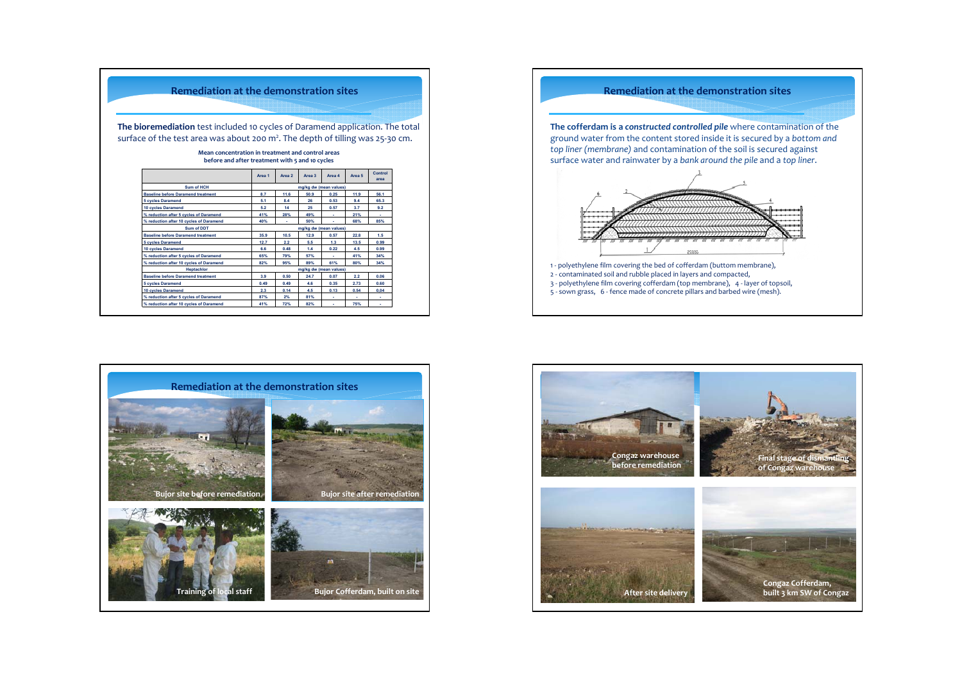| <b>Remediation at the demonstration sites</b>                                                                                                                     |                        |        |                        |        |        |                        |  |
|-------------------------------------------------------------------------------------------------------------------------------------------------------------------|------------------------|--------|------------------------|--------|--------|------------------------|--|
| The bioremediation test included 10 cycles of Daramend application. The total<br>surface of the test area was about 200 $m2$ . The depth of tilling was 25-30 cm. |                        |        |                        |        |        |                        |  |
| Mean concentration in treatment and control areas<br>before and after treatment with 5 and 10 cycles                                                              |                        |        |                        |        |        |                        |  |
|                                                                                                                                                                   | Area 1                 | Area 2 | Area 3                 | Area 4 | Area 5 | <b>Control</b><br>area |  |
| Sum of HCH                                                                                                                                                        | mg/kg dw (mean values) |        |                        |        |        |                        |  |
| <b>Baseline before Daramend treatment</b>                                                                                                                         | 8.7                    | 11.6   | 50.9                   | 0.25   | 11.9   | 56.1                   |  |
| <b>5 cycles Daramend</b>                                                                                                                                          | 5.1                    | 8.4    | 26                     | 0.53   | 9.4    | 65.3                   |  |
| 10 cycles Daramend                                                                                                                                                | 5.2                    | 14     | 25                     | 0.57   | 3.7    | 9.2                    |  |
| % reduction after 5 cycles of Daramend                                                                                                                            | 41%                    | 28%    | 49%                    |        | 21%    |                        |  |
| % reduction after 10 cycles of Daramend                                                                                                                           | 40%                    |        | 50%                    |        | 68%    | 85%                    |  |
| Sum of DDT                                                                                                                                                        |                        |        | mg/kg dw (mean values) |        |        |                        |  |
|                                                                                                                                                                   | 35.9                   | 10.5   | 12.9                   | 0.57   | 22.8   | 1.5                    |  |
| <b>Baseline before Daramend treatment</b>                                                                                                                         |                        | 2.2    | 5.5                    | 1.3    | 13.5   | 0.99                   |  |
| <b>5 cycles Daramend</b>                                                                                                                                          | 12.7                   |        |                        |        |        |                        |  |
| 10 cycles Daramend                                                                                                                                                | 6.6                    | 0.48   | 1.4                    | 0.22   | 4.5    | 0.99                   |  |
| % reduction after 5 cycles of Daramend                                                                                                                            | 65%                    | 79%    | 57%                    |        | 41%    | 34%                    |  |
| % reduction after 10 cycles of Daramend                                                                                                                           | 82%                    | 95%    | 89%                    | 61%    | 80%    | 34%                    |  |
| <b>Heptachlor</b>                                                                                                                                                 |                        |        | mg/kg dw (mean values) |        |        |                        |  |
| <b>Baseline before Daramend treatment</b>                                                                                                                         | 3.9                    | 0.50   | 24.7                   | 0.07   | 2.2    | 0.06                   |  |
| <b>5 cycles Daramend</b>                                                                                                                                          | 0.49                   | 0.49   | 4.6                    | 0.35   | 2.73   | 0.60                   |  |
| <b>10 cycles Daramend</b>                                                                                                                                         | 2.3                    | 0.14   | 4.5                    | 0.13   | 0.54   | 0.04                   |  |
| % reduction after 5 cycles of Daramend                                                                                                                            | 87%                    | 2%     | 81%                    |        |        |                        |  |